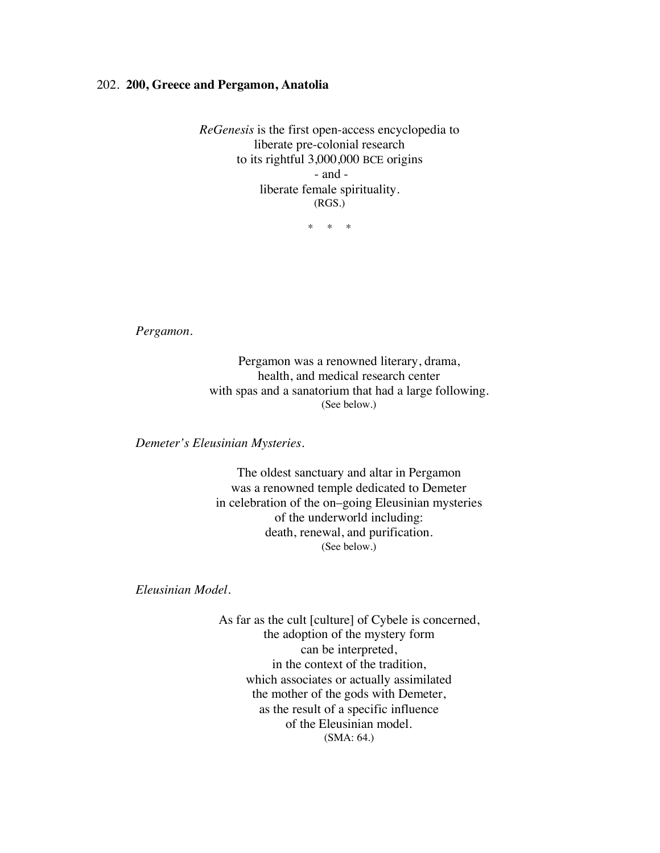## 202. **200, Greece and Pergamon, Anatolia**

*ReGenesis* is the first open-access encyclopedia to liberate pre-colonial research to its rightful 3,000,000 BCE origins - and liberate female spirituality. (RGS.)

\* \* \*

*Pergamon.*

Pergamon was a renowned literary, drama, health, and medical research center with spas and a sanatorium that had a large following. (See below.)

*Demeter's Eleusinian Mysteries.*

The oldest sanctuary and altar in Pergamon was a renowned temple dedicated to Demeter in celebration of the on–going Eleusinian mysteries of the underworld including: death, renewal, and purification. (See below.)

*Eleusinian Model.*

As far as the cult [culture] of Cybele is concerned, the adoption of the mystery form can be interpreted, in the context of the tradition, which associates or actually assimilated the mother of the gods with Demeter, as the result of a specific influence of the Eleusinian model. (SMA: 64.)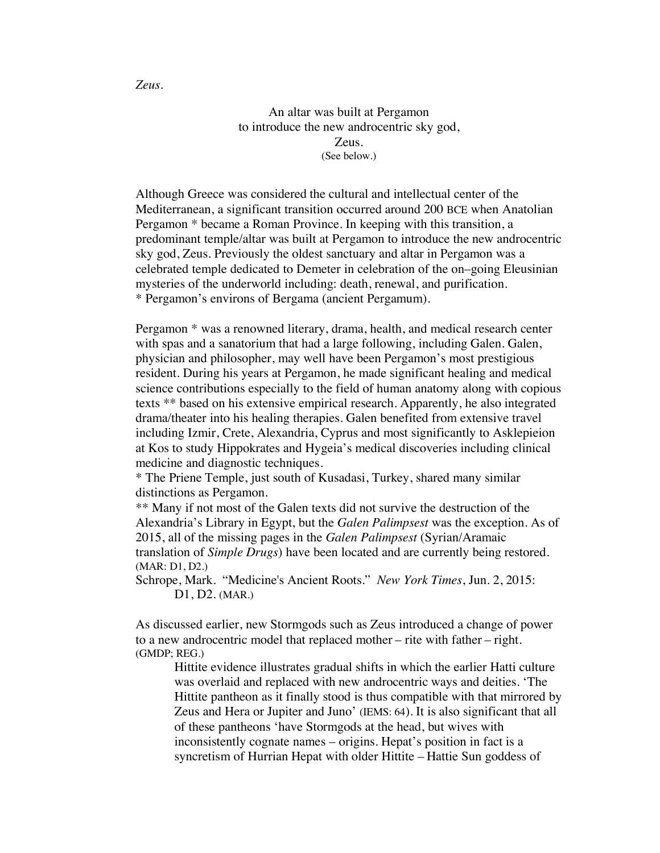An altar was built at Pergamon to introduce the new androcentric sky god, Zeus. (See below.)

Although Greece was considered the cultural and intellectual center of the Mediterranean, a significant transition occurred around 200 BCE when Anatolian Pergamon \* became a Roman Province. In keeping with this transition, a predominant temple/altar was built at Pergamon to introduce the new androcentric sky god, Zeus. Previously the oldest sanctuary and altar in Pergamon was a celebrated temple dedicated to Demeter in celebration of the on–going Eleusinian mysteries of the underworld including: death, renewal, and purification. \* Pergamon's environs of Bergama (ancient Pergamum).

Pergamon \* was a renowned literary, drama, health, and medical research center with spas and a sanatorium that had a large following, including Galen. Galen, physician and philosopher, may well have been Pergamon's most prestigious resident. During his years at Pergamon, he made significant healing and medical science contributions especially to the field of human anatomy along with copious texts \*\* based on his extensive empirical research. Apparently, he also integrated drama/theater into his healing therapies. Galen benefited from extensive travel including Izmir, Crete, Alexandria, Cyprus and most significantly to Asklepieion at Kos to study Hippokrates and Hygeia's medical discoveries including clinical medicine and diagnostic techniques.

\* The Priene Temple, just south of Kusadasi, Turkey, shared many similar distinctions as Pergamon.

\*\* Many if not most of the Galen texts did not survive the destruction of the Alexandria's Library in Egypt, but the *Galen Palimpsest* was the exception. As of 2015, all of the missing pages in the *Galen Palimpsest* (Syrian/Aramaic translation of *Simple Drugs*) have been located and are currently being restored. (MAR: D1, D2.)

Schrope, Mark. "Medicine's Ancient Roots." *New York Times*, Jun. 2, 2015: D1, D2. (MAR.)

As discussed earlier, new Stormgods such as Zeus introduced a change of power to a new androcentric model that replaced mother – rite with father – right. (GMDP; REG.)

Hittite evidence illustrates gradual shifts in which the earlier Hatti culture was overlaid and replaced with new androcentric ways and deities. 'The Hittite pantheon as it finally stood is thus compatible with that mirrored by Zeus and Hera or Jupiter and Juno' (IEMS: 64). It is also significant that all of these pantheons 'have Stormgods at the head, but wives with inconsistently cognate names – origins. Hepat's position in fact is a syncretism of Hurrian Hepat with older Hittite – Hattie Sun goddess of

*Zeus.*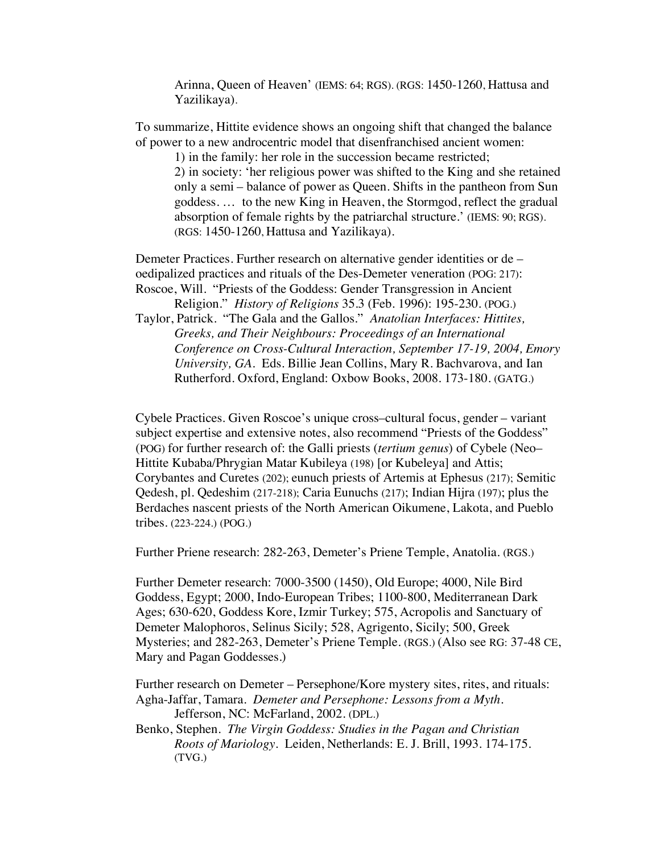Arinna, Queen of Heaven' (IEMS: 64; RGS). (RGS: 1450-1260, Hattusa and Yazilikaya).

To summarize, Hittite evidence shows an ongoing shift that changed the balance of power to a new androcentric model that disenfranchised ancient women:

1) in the family: her role in the succession became restricted; 2) in society: 'her religious power was shifted to the King and she retained only a semi – balance of power as Queen. Shifts in the pantheon from Sun goddess. … to the new King in Heaven, the Stormgod, reflect the gradual absorption of female rights by the patriarchal structure.' (IEMS: 90; RGS). (RGS: 1450-1260, Hattusa and Yazilikaya).

Demeter Practices. Further research on alternative gender identities or de – oedipalized practices and rituals of the Des-Demeter veneration (POG: 217): Roscoe, Will. "Priests of the Goddess: Gender Transgression in Ancient

Religion." *History of Religions* 35.3 (Feb. 1996): 195-230. (POG.) Taylor, Patrick. "The Gala and the Gallos." *Anatolian Interfaces: Hittites, Greeks, and Their Neighbours: Proceedings of an International Conference on Cross-Cultural Interaction, September 17-19, 2004, Emory University, GA.* Eds. Billie Jean Collins, Mary R. Bachvarova, and Ian Rutherford. Oxford, England: Oxbow Books, 2008. 173-180. (GATG.)

Cybele Practices. Given Roscoe's unique cross–cultural focus, gender – variant subject expertise and extensive notes, also recommend "Priests of the Goddess" (POG) for further research of: the Galli priests (*tertium genus*) of Cybele (Neo– Hittite Kubaba/Phrygian Matar Kubileya (198) [or Kubeleya] and Attis; Corybantes and Curetes (202); eunuch priests of Artemis at Ephesus (217); Semitic Qedesh, pl. Qedeshim (217-218); Caria Eunuchs (217); Indian Hijra (197); plus the Berdaches nascent priests of the North American Oikumene, Lakota, and Pueblo tribes. (223-224.) (POG.)

Further Priene research: 282-263, Demeter's Priene Temple, Anatolia. (RGS.)

Further Demeter research: 7000-3500 (1450), Old Europe; 4000, Nile Bird Goddess, Egypt; 2000, Indo-European Tribes; 1100-800, Mediterranean Dark Ages; 630-620, Goddess Kore, Izmir Turkey; 575, Acropolis and Sanctuary of Demeter Malophoros, Selinus Sicily; 528, Agrigento, Sicily; 500, Greek Mysteries; and 282-263, Demeter's Priene Temple. (RGS.) (Also see RG: 37-48 CE, Mary and Pagan Goddesses.)

Further research on Demeter – Persephone/Kore mystery sites, rites, and rituals: Agha-Jaffar, Tamara. *Demeter and Persephone: Lessons from a Myth*. Jefferson, NC: McFarland, 2002. (DPL.)

Benko, Stephen. *The Virgin Goddess: Studies in the Pagan and Christian Roots of Mariology*. Leiden, Netherlands: E. J. Brill, 1993. 174-175. (TVG.)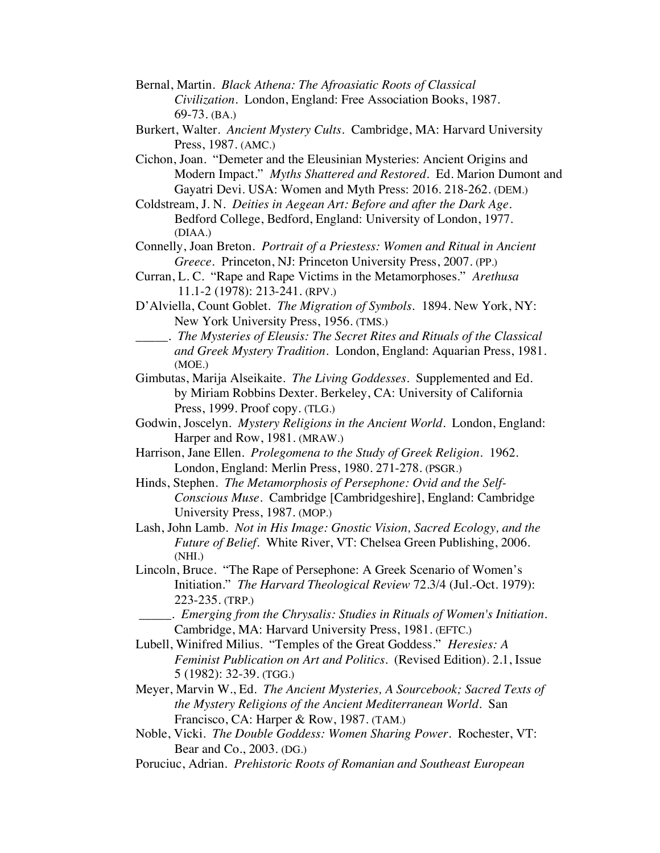- Bernal, Martin. *Black Athena: The Afroasiatic Roots of Classical Civilization*. London, England: Free Association Books, 1987. 69-73. (BA.)
- Burkert, Walter. *Ancient Mystery Cults.* Cambridge, MA: Harvard University Press, 1987. (AMC.)
- Cichon, Joan. "Demeter and the Eleusinian Mysteries: Ancient Origins and Modern Impact." *Myths Shattered and Restored*. Ed. Marion Dumont and Gayatri Devi. USA: Women and Myth Press: 2016. 218-262. (DEM.)
- Coldstream, J. N. *Deities in Aegean Art: Before and after the Dark Age*. Bedford College, Bedford, England: University of London, 1977. (DIAA.)
- Connelly, Joan Breton. *Portrait of a Priestess: Women and Ritual in Ancient Greece.* Princeton, NJ: Princeton University Press, 2007. (PP.)
- Curran, L. C. "Rape and Rape Victims in the Metamorphoses." *Arethusa* 11.1-2 (1978): 213-241. (RPV.)
- D'Alviella, Count Goblet. *The Migration of Symbols.* 1894. New York, NY: New York University Press, 1956. (TMS.)
- \_\_\_\_\_. *The Mysteries of Eleusis: The Secret Rites and Rituals of the Classical and Greek Mystery Tradition.* London, England: Aquarian Press, 1981. (MOE.)
- Gimbutas, Marija Alseikaite. *The Living Goddesses*. Supplemented and Ed. by Miriam Robbins Dexter. Berkeley, CA: University of California Press, 1999. Proof copy. (TLG.)
- Godwin, Joscelyn. *Mystery Religions in the Ancient World*. London, England: Harper and Row, 1981. (MRAW.)
- Harrison, Jane Ellen. *Prolegomena to the Study of Greek Religion*. 1962. London, England: Merlin Press, 1980. 271-278. (PSGR.)
- Hinds, Stephen. *The Metamorphosis of Persephone: Ovid and the Self-Conscious Muse*. Cambridge [Cambridgeshire], England: Cambridge University Press, 1987. (MOP.)
- Lash, John Lamb. *Not in His Image: Gnostic Vision, Sacred Ecology, and the Future of Belief.* White River, VT: Chelsea Green Publishing, 2006. (NHI.)
- Lincoln, Bruce. "The Rape of Persephone: A Greek Scenario of Women's Initiation." *The Harvard Theological Review* 72.3/4 (Jul.-Oct. 1979): 223-235. (TRP.)
	- \_\_\_\_\_. *Emerging from the Chrysalis: Studies in Rituals of Women's Initiation.* Cambridge, MA: Harvard University Press, 1981. (EFTC.)
- Lubell, Winifred Milius. "Temples of the Great Goddess." *Heresies: A Feminist Publication on Art and Politics.* (Revised Edition). 2.1, Issue 5 (1982): 32-39. (TGG.)
- Meyer, Marvin W., Ed. *The Ancient Mysteries, A Sourcebook; Sacred Texts of the Mystery Religions of the Ancient Mediterranean World*. San Francisco, CA: Harper & Row, 1987. (TAM.)
- Noble, Vicki. *The Double Goddess: Women Sharing Power*. Rochester, VT: Bear and Co., 2003. (DG.)
- Poruciuc, Adrian. *Prehistoric Roots of Romanian and Southeast European*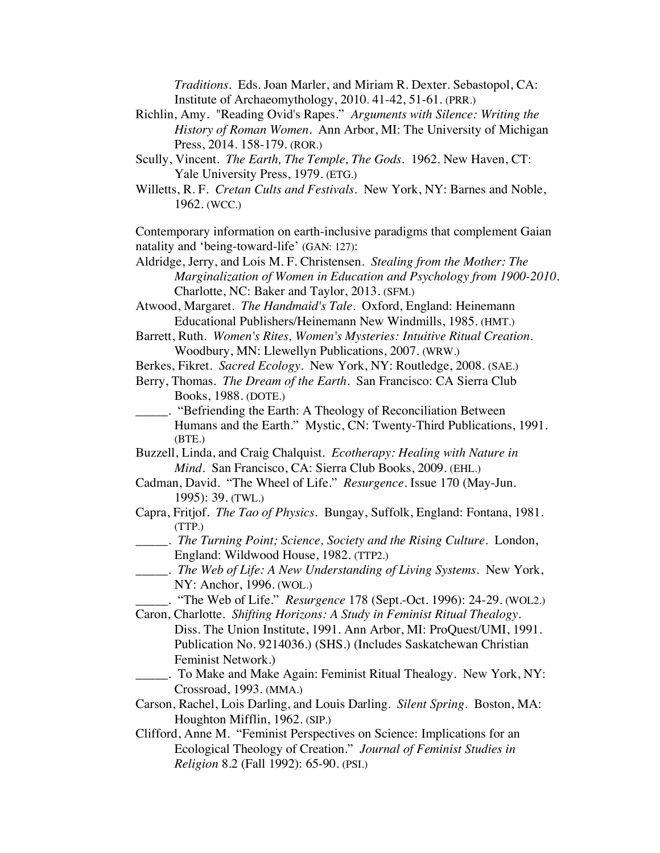*Traditions*. Eds. Joan Marler, and Miriam R. Dexter. Sebastopol, CA: Institute of Archaeomythology, 2010. 41-42, 51-61. (PRR.)

- Richlin, Amy. "Reading Ovid's Rapes." *Arguments with Silence: Writing the History of Roman Women*. Ann Arbor, MI: The University of Michigan Press, 2014. 158-179. (ROR.)
- Scully, Vincent. *The Earth, The Temple, The Gods*. 1962. New Haven, CT: Yale University Press, 1979. (ETG.)
- Willetts, R. F. *Cretan Cults and Festivals*. New York, NY: Barnes and Noble, 1962. (WCC.)

Contemporary information on earth-inclusive paradigms that complement Gaian natality and 'being-toward-life' (GAN: 127):

Aldridge, Jerry, and Lois M. F. Christensen. *Stealing from the Mother: The Marginalization of Women in Education and Psychology from 1900-2010*. Charlotte, NC: Baker and Taylor, 2013. (SFM.)

Atwood, Margaret. *The Handmaid's Tale*. Oxford, England: Heinemann Educational Publishers/Heinemann New Windmills, 1985. (HMT.)

- Barrett, Ruth. *Women's Rites, Women's Mysteries: Intuitive Ritual Creation*. Woodbury, MN: Llewellyn Publications, 2007. (WRW.)
- Berkes, Fikret. *Sacred Ecology*. New York, NY: Routledge, 2008. (SAE.)
- Berry, Thomas. *The Dream of the Earth*. San Francisco: CA Sierra Club Books, 1988. (DOTE.)
- \_\_\_\_\_. "Befriending the Earth: A Theology of Reconciliation Between Humans and the Earth." Mystic, CN: Twenty-Third Publications, 1991. (BTE.)
- Buzzell, Linda, and Craig Chalquist. *Ecotherapy: Healing with Nature in Mind.* San Francisco, CA: Sierra Club Books, 2009. (EHL.)
- Cadman, David. "The Wheel of Life." *Resurgence*. Issue 170 (May-Jun. 1995): 39. (TWL.)
- Capra, Fritjof. *The Tao of Physics*. Bungay, Suffolk, England: Fontana, 1981. (TTP.)
- \_\_\_\_\_. *The Turning Point; Science, Society and the Rising Culture*. London, England: Wildwood House, 1982. (TTP2.)
- \_\_\_\_\_. *The Web of Life: A New Understanding of Living Systems*. New York, NY: Anchor, 1996. (WOL.)
	- \_\_\_\_\_. "The Web of Life." *Resurgence* 178 (Sept.-Oct. 1996): 24-29. (WOL2.)
- Caron, Charlotte. *Shifting Horizons: A Study in Feminist Ritual Thealogy*. Diss. The Union Institute, 1991. Ann Arbor, MI: ProQuest/UMI, 1991. Publication No. 9214036.) (SHS.) (Includes Saskatchewan Christian Feminist Network.)
- \_\_\_\_\_. To Make and Make Again: Feminist Ritual Thealogy. New York, NY: Crossroad, 1993. (MMA.)
- Carson, Rachel, Lois Darling, and Louis Darling. *Silent Spring.* Boston, MA: Houghton Mifflin, 1962. (SIP.)
- Clifford, Anne M. "Feminist Perspectives on Science: Implications for an Ecological Theology of Creation." *Journal of Feminist Studies in Religion* 8.2 (Fall 1992): 65-90. (PSI.)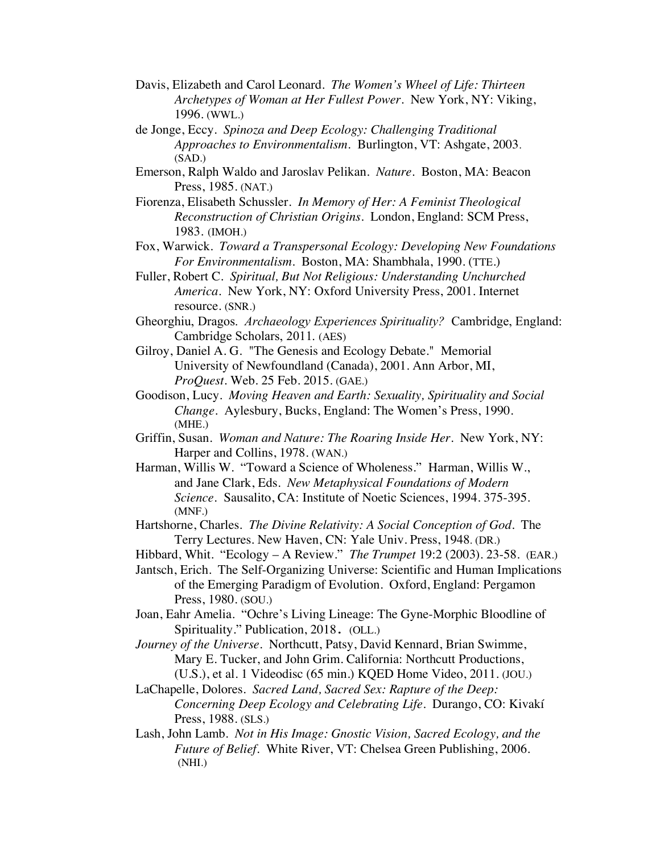- Davis, Elizabeth and Carol Leonard. *The Women's Wheel of Life: Thirteen Archetypes of Woman at Her Fullest Power.* New York, NY: Viking, 1996. (WWL.)
- de Jonge, Eccy. *Spinoza and Deep Ecology: Challenging Traditional Approaches to Environmentalism.* Burlington, VT: Ashgate, 2003.  $(SAD.)$
- Emerson, Ralph Waldo and Jaroslav Pelikan. *Nature*. Boston, MA: Beacon Press, 1985. (NAT.)
- Fiorenza, Elisabeth Schussler. *In Memory of Her: A Feminist Theological Reconstruction of Christian Origins*. London, England: SCM Press, 1983. (IMOH.)
- Fox, Warwick. *Toward a Transpersonal Ecology: Developing New Foundations For Environmentalism*. Boston, MA: Shambhala, 1990. (TTE.)
- Fuller, Robert C. *Spiritual, But Not Religious: Understanding Unchurched America*. New York, NY: Oxford University Press, 2001. Internet resource. (SNR.)
- Gheorghiu, Dragos. *Archaeology Experiences Spirituality?* Cambridge, England: Cambridge Scholars, 2011. (AES)
- Gilroy, Daniel A. G. "The Genesis and Ecology Debate." Memorial University of Newfoundland (Canada), 2001. Ann Arbor, MI, *ProQuest.* Web. 25 Feb. 2015. (GAE.)
- Goodison, Lucy. *Moving Heaven and Earth: Sexuality, Spirituality and Social Change*. Aylesbury, Bucks, England: The Women's Press, 1990. (MHE.)
- Griffin, Susan. *Woman and Nature: The Roaring Inside Her*. New York, NY: Harper and Collins, 1978. (WAN.)
- Harman, Willis W. "Toward a Science of Wholeness." Harman, Willis W., and Jane Clark, Eds. *New Metaphysical Foundations of Modern Science.* Sausalito, CA: Institute of Noetic Sciences, 1994. 375-395. (MNF.)
- Hartshorne, Charles. *The Divine Relativity: A Social Conception of God*. The Terry Lectures. New Haven, CN: Yale Univ. Press, 1948. (DR.)
- Hibbard, Whit. "Ecology A Review." *The Trumpet* 19:2 (2003). 23-58. (EAR.)
- Jantsch, Erich. The Self-Organizing Universe: Scientific and Human Implications of the Emerging Paradigm of Evolution. Oxford, England: Pergamon Press, 1980. (SOU.)
- Joan, Eahr Amelia. "Ochre's Living Lineage: The Gyne-Morphic Bloodline of Spirituality." Publication, 2018. (OLL.)
- *Journey of the Universe*. Northcutt, Patsy, David Kennard, Brian Swimme, Mary E. Tucker, and John Grim. California: Northcutt Productions, (U.S.), et al. 1 Videodisc (65 min.) KQED Home Video, 2011. (JOU.)
- LaChapelle, Dolores. *Sacred Land, Sacred Sex: Rapture of the Deep: Concerning Deep Ecology and Celebrating Life*. Durango, CO: Kivakí Press, 1988. (SLS.)
- Lash, John Lamb. *Not in His Image: Gnostic Vision, Sacred Ecology, and the Future of Belief.* White River, VT: Chelsea Green Publishing, 2006. (NHI.)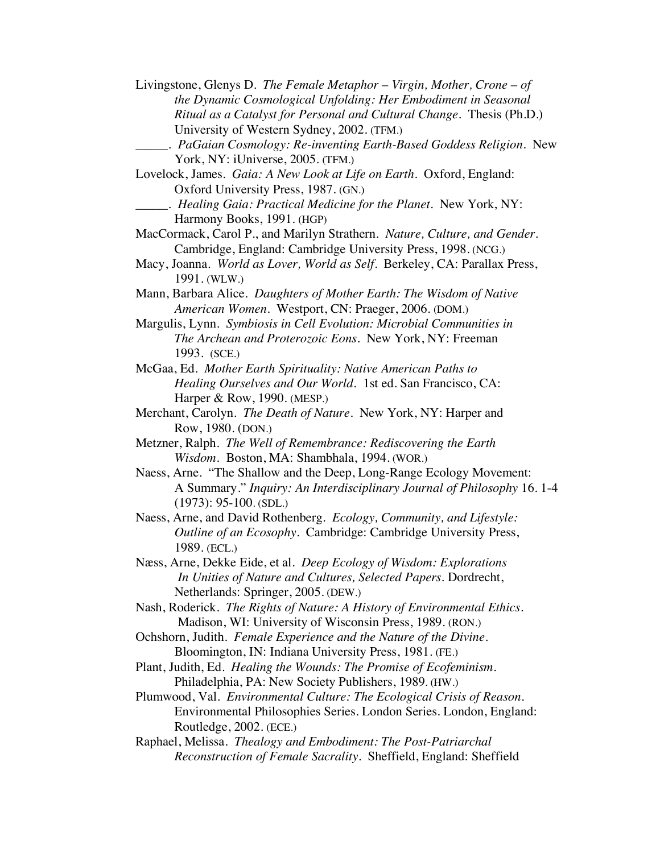Livingstone, Glenys D. *The Female Metaphor* – *Virgin, Mother, Crone* – *of the Dynamic Cosmological Unfolding: Her Embodiment in Seasonal Ritual as a Catalyst for Personal and Cultural Change*. Thesis (Ph.D.) University of Western Sydney, 2002. (TFM.)

- \_\_\_\_\_. *PaGaian Cosmology: Re-inventing Earth-Based Goddess Religion.* New York, NY: iUniverse, 2005. (TFM.)
- Lovelock, James. *Gaia: A New Look at Life on Earth*. Oxford, England: Oxford University Press, 1987. (GN.)
	- \_\_\_\_\_. *Healing Gaia: Practical Medicine for the Planet*. New York, NY: Harmony Books, 1991. (HGP)
- MacCormack, Carol P., and Marilyn Strathern. *Nature, Culture, and Gender*. Cambridge, England: Cambridge University Press, 1998. (NCG.)
- Macy, Joanna. *World as Lover, World as Self*. Berkeley, CA: Parallax Press, 1991. (WLW.)
- Mann, Barbara Alice. *Daughters of Mother Earth: The Wisdom of Native American Women.* Westport, CN: Praeger, 2006. (DOM.)
- Margulis, Lynn. *Symbiosis in Cell Evolution: Microbial Communities in The Archean and Proterozoic Eons*. New York, NY: Freeman 1993. (SCE.)
- McGaa, Ed. *Mother Earth Spirituality: Native American Paths to Healing Ourselves and Our World.* 1st ed. San Francisco, CA: Harper & Row, 1990. (MESP.)
- Merchant, Carolyn. *The Death of Nature.* New York, NY: Harper and Row, 1980. (DON.)
- Metzner, Ralph. *The Well of Remembrance: Rediscovering the Earth Wisdom.* Boston, MA: Shambhala, 1994. (WOR.)
- Naess, Arne. "The Shallow and the Deep, Long-Range Ecology Movement: A Summary." *Inquiry: An Interdisciplinary Journal of Philosophy* 16. 1-4 (1973): 95-100. (SDL.)
- Naess, Arne, and David Rothenberg*. Ecology, Community, and Lifestyle: Outline of an Ecosophy*. Cambridge: Cambridge University Press, 1989. (ECL.)
- Næss, Arne, Dekke Eide, et al. *Deep Ecology of Wisdom: Explorations In Unities of Nature and Cultures, Selected Papers.* Dordrecht, Netherlands: Springer, 2005. (DEW.)
- Nash, Roderick. *The Rights of Nature: A History of Environmental Ethics*. Madison, WI: University of Wisconsin Press, 1989. (RON.)
- Ochshorn, Judith. *Female Experience and the Nature of the Divine*. Bloomington, IN: Indiana University Press, 1981. (FE.)
- Plant, Judith, Ed. *Healing the Wounds: The Promise of Ecofeminism*. Philadelphia, PA: New Society Publishers, 1989. (HW.)
- Plumwood, Val. *Environmental Culture: The Ecological Crisis of Reason*. Environmental Philosophies Series. London Series. London, England: Routledge, 2002. (ECE.)
- Raphael, Melissa. *Thealogy and Embodiment: The Post-Patriarchal Reconstruction of Female Sacrality*. Sheffield, England: Sheffield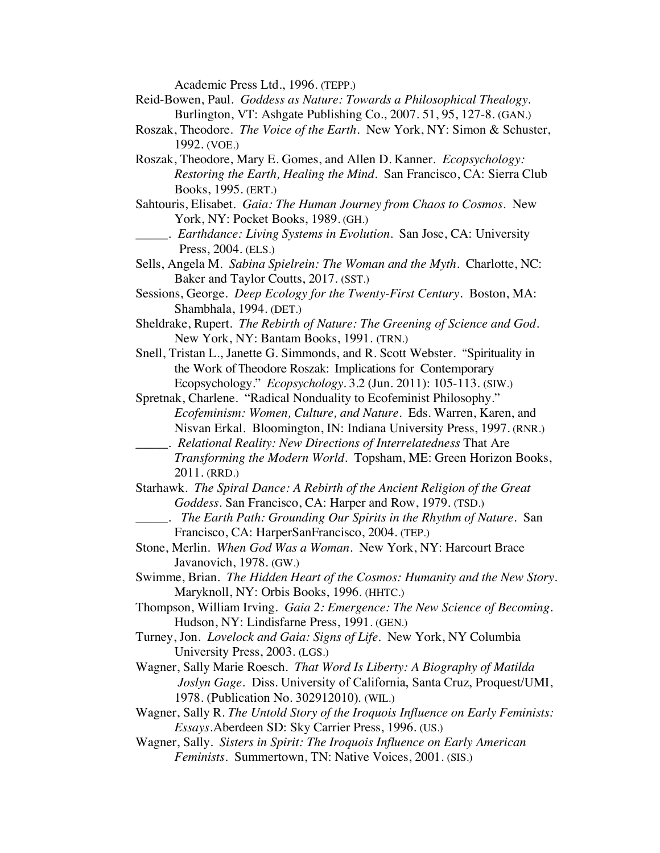Academic Press Ltd., 1996. (TEPP.)

- Reid-Bowen, Paul. *Goddess as Nature: Towards a Philosophical Thealogy.* Burlington, VT: Ashgate Publishing Co., 2007. 51, 95, 127-8. (GAN.)
- Roszak, Theodore. *The Voice of the Earth*. New York, NY: Simon & Schuster, 1992. (VOE.)
- Roszak, Theodore, Mary E. Gomes, and Allen D. Kanner. *Ecopsychology: Restoring the Earth, Healing the Mind*. San Francisco, CA: Sierra Club Books, 1995. (ERT.)
- Sahtouris, Elisabet. *Gaia: The Human Journey from Chaos to Cosmos*. New York, NY: Pocket Books, 1989. (GH.)
- \_\_\_\_\_. *Earthdance: Living Systems in Evolution*. San Jose, CA: University Press, 2004. (ELS.)
- Sells, Angela M. *Sabina Spielrein: The Woman and the Myth*. Charlotte, NC: Baker and Taylor Coutts, 2017. (SST.)
- Sessions, George. *Deep Ecology for the Twenty-First Century*. Boston, MA: Shambhala, 1994. (DET.)
- Sheldrake, Rupert. *The Rebirth of Nature: The Greening of Science and God*. New York, NY: Bantam Books, 1991. (TRN.)
- Snell, Tristan L., Janette G. Simmonds, and R. Scott Webster. "Spirituality in the Work of Theodore Roszak: Implications for Contemporary Ecopsychology." *Ecopsychology*. 3.2 (Jun. 2011): 105-113. (SIW.)
- Spretnak, Charlene. "Radical Nonduality to Ecofeminist Philosophy." *Ecofeminism: Women, Culture, and Nature*. Eds. Warren, Karen, and Nisvan Erkal. Bloomington, IN: Indiana University Press, 1997. (RNR.)
	- \_\_\_\_\_. *Relational Reality: New Directions of Interrelatedness* That Are *Transforming the Modern World*. Topsham, ME: Green Horizon Books,

- Starhawk. *The Spiral Dance: A Rebirth of the Ancient Religion of the Great Goddess.* San Francisco, CA: Harper and Row, 1979. (TSD.)
	- \_\_\_\_\_. *The Earth Path: Grounding Our Spirits in the Rhythm of Nature*. San Francisco, CA: HarperSanFrancisco, 2004. (TEP.)
- Stone, Merlin. *When God Was a Woman*. New York, NY: Harcourt Brace Javanovich, 1978. (GW.)
- Swimme, Brian. *The Hidden Heart of the Cosmos: Humanity and the New Story*. Maryknoll, NY: Orbis Books, 1996. (HHTC.)
- Thompson, William Irving. *Gaia 2: Emergence: The New Science of Becoming.* Hudson, NY: Lindisfarne Press, 1991. (GEN.)
- Turney, Jon. *Lovelock and Gaia: Signs of Life.* New York, NY Columbia University Press, 2003. (LGS.)
- Wagner, Sally Marie Roesch. *That Word Is Liberty: A Biography of Matilda Joslyn Gage*. Diss. University of California, Santa Cruz, Proquest/UMI, 1978. (Publication No. 302912010). (WIL.)
- Wagner, Sally R. *The Untold Story of the Iroquois Influence on Early Feminists: Essays*.Aberdeen SD: Sky Carrier Press, 1996. (US.)
- Wagner, Sally. *Sisters in Spirit: The Iroquois Influence on Early American Feminists*. Summertown, TN: Native Voices, 2001. (SIS.)

<sup>2011. (</sup>RRD.)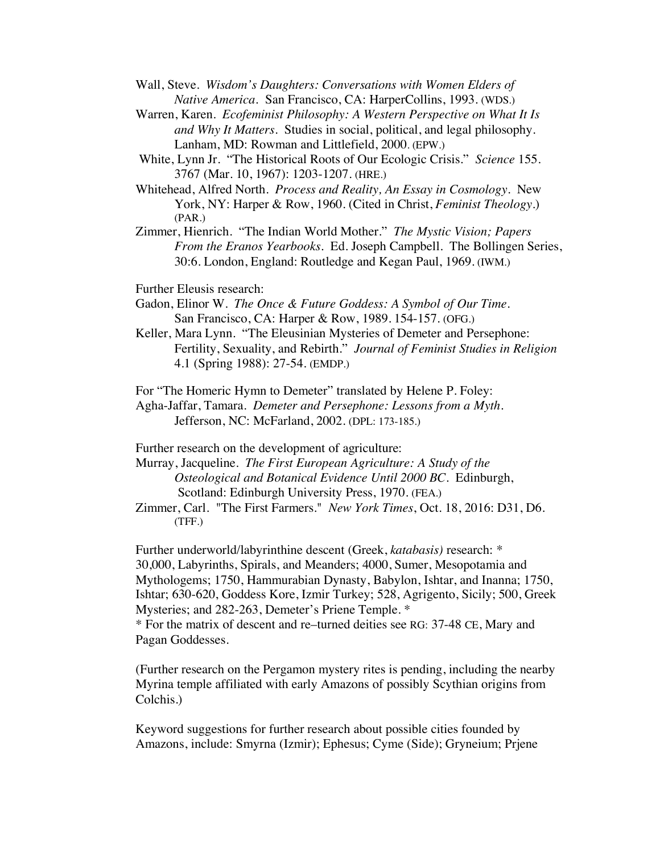Wall, Steve. *Wisdom's Daughters: Conversations with Women Elders of Native America.* San Francisco, CA: HarperCollins, 1993. (WDS.)

Warren, Karen. *Ecofeminist Philosophy: A Western Perspective on What It Is and Why It Matters*. Studies in social, political, and legal philosophy. Lanham, MD: Rowman and Littlefield, 2000. (EPW.)

White, Lynn Jr. "The Historical Roots of Our Ecologic Crisis." *Science* 155. 3767 (Mar. 10, 1967): 1203-1207. (HRE.)

Whitehead, Alfred North. *Process and Reality, An Essay in Cosmology.* New York, NY: Harper & Row, 1960. (Cited in Christ, *Feminist Theology*.) (PAR.)

Zimmer, Hienrich. "The Indian World Mother." *The Mystic Vision; Papers From the Eranos Yearbooks.* Ed. Joseph Campbell. The Bollingen Series, 30:6. London, England: Routledge and Kegan Paul, 1969. (IWM.)

Further Eleusis research:

Gadon, Elinor W. *The Once & Future Goddess: A Symbol of Our Time.* San Francisco, CA: Harper & Row, 1989. 154-157. (OFG.)

Keller, Mara Lynn. "The Eleusinian Mysteries of Demeter and Persephone: Fertility, Sexuality, and Rebirth." *Journal of Feminist Studies in Religion* 4.1 (Spring 1988): 27-54. (EMDP.)

For "The Homeric Hymn to Demeter" translated by Helene P. Foley: Agha-Jaffar, Tamara. *Demeter and Persephone: Lessons from a Myth*. Jefferson, NC: McFarland, 2002. (DPL: 173-185.)

Further research on the development of agriculture:

Murray, Jacqueline. *The First European Agriculture: A Study of the Osteological and Botanical Evidence Until 2000 BC*. Edinburgh, Scotland: Edinburgh University Press, 1970. (FEA.)

Zimmer, Carl. "The First Farmers." *New York Times*, Oct. 18, 2016: D31, D6. (TFF.)

Further underworld/labyrinthine descent (Greek, *katabasis)* research: \* 30,000, Labyrinths, Spirals, and Meanders; 4000, Sumer, Mesopotamia and Mythologems; 1750, Hammurabian Dynasty, Babylon, Ishtar, and Inanna; 1750, Ishtar; 630-620, Goddess Kore, Izmir Turkey; 528, Agrigento, Sicily; 500, Greek Mysteries; and 282-263, Demeter's Priene Temple. \*

\* For the matrix of descent and re–turned deities see RG: 37-48 CE, Mary and Pagan Goddesses.

(Further research on the Pergamon mystery rites is pending, including the nearby Myrina temple affiliated with early Amazons of possibly Scythian origins from Colchis.)

Keyword suggestions for further research about possible cities founded by Amazons, include: Smyrna (Izmir); Ephesus; Cyme (Side); Gryneium; Prjene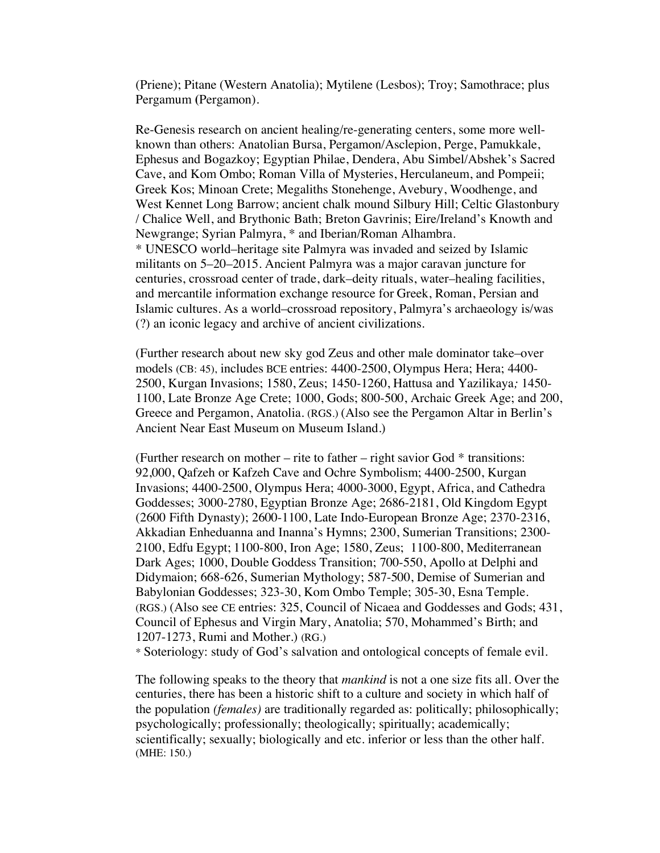(Priene); Pitane (Western Anatolia); Mytilene (Lesbos); Troy; Samothrace; plus Pergamum **(**Pergamon).

Re-Genesis research on ancient healing/re-generating centers, some more wellknown than others: Anatolian Bursa, Pergamon/Asclepion, Perge, Pamukkale, Ephesus and Bogazkoy; Egyptian Philae, Dendera, Abu Simbel/Abshek's Sacred Cave, and Kom Ombo; Roman Villa of Mysteries, Herculaneum, and Pompeii; Greek Kos; Minoan Crete; Megaliths Stonehenge, Avebury, Woodhenge, and West Kennet Long Barrow; ancient chalk mound Silbury Hill; Celtic Glastonbury / Chalice Well, and Brythonic Bath; Breton Gavrinis; Eire/Ireland's Knowth and Newgrange; Syrian Palmyra, \* and Iberian/Roman Alhambra. \* UNESCO world–heritage site Palmyra was invaded and seized by Islamic militants on 5–20–2015. Ancient Palmyra was a major caravan juncture for centuries, crossroad center of trade, dark–deity rituals, water–healing facilities, and mercantile information exchange resource for Greek, Roman, Persian and Islamic cultures. As a world–crossroad repository, Palmyra's archaeology is/was (?) an iconic legacy and archive of ancient civilizations.

(Further research about new sky god Zeus and other male dominator take–over models (CB: 45), includes BCE entries: 4400-2500, Olympus Hera; Hera; 4400- 2500, Kurgan Invasions; 1580, Zeus; 1450-1260, Hattusa and Yazilikaya*;* 1450- 1100, Late Bronze Age Crete; 1000, Gods; 800-500, Archaic Greek Age; and 200, Greece and Pergamon, Anatolia. (RGS.) (Also see the Pergamon Altar in Berlin's Ancient Near East Museum on Museum Island.)

(Further research on mother – rite to father – right savior God \* transitions: 92,000, Qafzeh or Kafzeh Cave and Ochre Symbolism; 4400-2500, Kurgan Invasions; 4400-2500, Olympus Hera; 4000-3000, Egypt, Africa, and Cathedra Goddesses; 3000-2780, Egyptian Bronze Age; 2686-2181, Old Kingdom Egypt (2600 Fifth Dynasty); 2600-1100, Late Indo-European Bronze Age; 2370-2316, Akkadian Enheduanna and Inanna's Hymns; 2300, Sumerian Transitions; 2300- 2100, Edfu Egypt; 1100-800, Iron Age; 1580, Zeus; 1100-800, Mediterranean Dark Ages; 1000, Double Goddess Transition; 700-550, Apollo at Delphi and Didymaion; 668-626, Sumerian Mythology; 587-500, Demise of Sumerian and Babylonian Goddesses; 323-30, Kom Ombo Temple; 305-30, Esna Temple. (RGS.) (Also see CE entries: 325, Council of Nicaea and Goddesses and Gods; 431, Council of Ephesus and Virgin Mary, Anatolia; 570, Mohammed's Birth; and 1207-1273, Rumi and Mother.) (RG.)

\* Soteriology: study of God's salvation and ontological concepts of female evil.

The following speaks to the theory that *mankind* is not a one size fits all. Over the centuries, there has been a historic shift to a culture and society in which half of the population *(females)* are traditionally regarded as: politically; philosophically; psychologically; professionally; theologically; spiritually; academically; scientifically; sexually; biologically and etc. inferior or less than the other half. (MHE: 150.)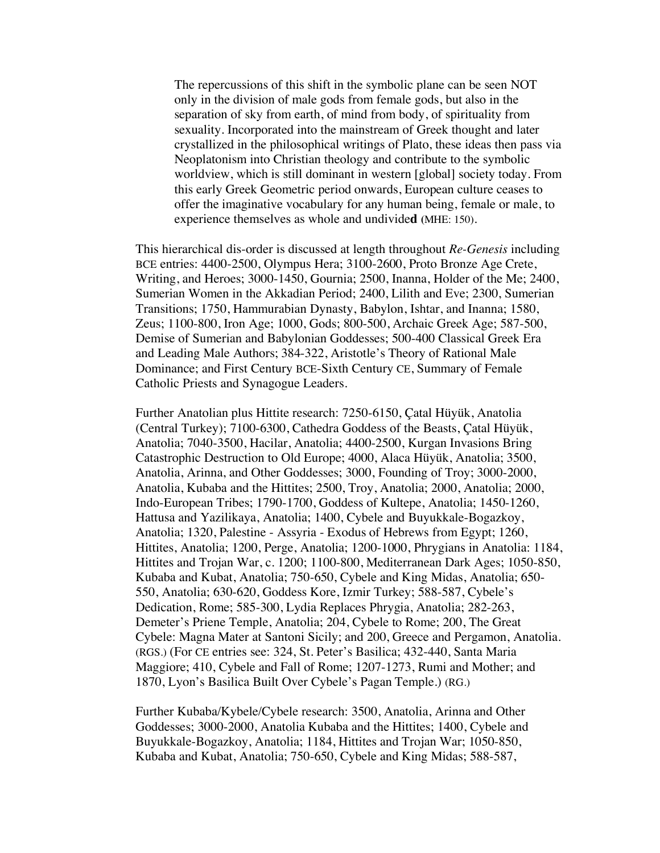The repercussions of this shift in the symbolic plane can be seen NOT only in the division of male gods from female gods, but also in the separation of sky from earth, of mind from body, of spirituality from sexuality. Incorporated into the mainstream of Greek thought and later crystallized in the philosophical writings of Plato, these ideas then pass via Neoplatonism into Christian theology and contribute to the symbolic worldview, which is still dominant in western [global] society today. From this early Greek Geometric period onwards, European culture ceases to offer the imaginative vocabulary for any human being, female or male, to experience themselves as whole and undivide**d (**MHE: 150).

This hierarchical dis-order is discussed at length throughout *Re-Genesis* including BCE entries: 4400-2500, Olympus Hera; 3100-2600, Proto Bronze Age Crete, Writing, and Heroes; 3000-1450, Gournia; 2500, Inanna, Holder of the Me; 2400, Sumerian Women in the Akkadian Period; 2400, Lilith and Eve; 2300, Sumerian Transitions; 1750, Hammurabian Dynasty, Babylon, Ishtar, and Inanna; 1580, Zeus; 1100-800, Iron Age; 1000, Gods; 800-500, Archaic Greek Age; 587-500, Demise of Sumerian and Babylonian Goddesses; 500-400 Classical Greek Era and Leading Male Authors; 384-322, Aristotle's Theory of Rational Male Dominance; and First Century BCE-Sixth Century CE, Summary of Female Catholic Priests and Synagogue Leaders.

Further Anatolian plus Hittite research: 7250-6150, Çatal Hüyük, Anatolia (Central Turkey); 7100-6300, Cathedra Goddess of the Beasts, Çatal Hüyük, Anatolia; 7040-3500, Hacilar, Anatolia; 4400-2500, Kurgan Invasions Bring Catastrophic Destruction to Old Europe; 4000, Alaca Hüyük, Anatolia; 3500, Anatolia, Arinna, and Other Goddesses; 3000, Founding of Troy; 3000-2000, Anatolia, Kubaba and the Hittites; 2500, Troy, Anatolia; 2000, Anatolia; 2000, Indo-European Tribes; 1790-1700, Goddess of Kultepe, Anatolia; 1450-1260, Hattusa and Yazilikaya, Anatolia; 1400, Cybele and Buyukkale-Bogazkoy, Anatolia; 1320, Palestine - Assyria - Exodus of Hebrews from Egypt; 1260, Hittites, Anatolia; 1200, Perge, Anatolia; 1200-1000, Phrygians in Anatolia: 1184, Hittites and Trojan War, c. 1200; 1100-800, Mediterranean Dark Ages; 1050-850, Kubaba and Kubat, Anatolia; 750-650, Cybele and King Midas, Anatolia; 650- 550, Anatolia; 630-620, Goddess Kore, Izmir Turkey; 588-587, Cybele's Dedication, Rome; 585-300, Lydia Replaces Phrygia, Anatolia; 282-263, Demeter's Priene Temple, Anatolia; 204, Cybele to Rome; 200, The Great Cybele: Magna Mater at Santoni Sicily; and 200, Greece and Pergamon, Anatolia. (RGS.) (For CE entries see: 324, St. Peter's Basilica; 432-440, Santa Maria Maggiore; 410, Cybele and Fall of Rome; 1207-1273, Rumi and Mother; and 1870, Lyon's Basilica Built Over Cybele's Pagan Temple.) (RG.)

Further Kubaba/Kybele/Cybele research: 3500, Anatolia, Arinna and Other Goddesses; 3000-2000, Anatolia Kubaba and the Hittites; 1400, Cybele and Buyukkale-Bogazkoy, Anatolia; 1184, Hittites and Trojan War; 1050-850, Kubaba and Kubat, Anatolia; 750-650, Cybele and King Midas; 588-587,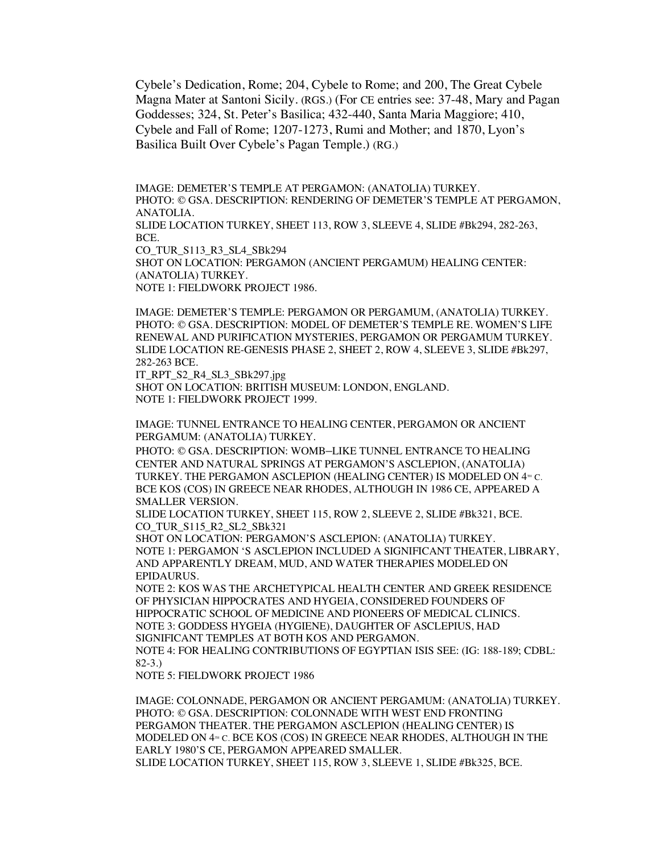Cybele's Dedication, Rome; 204, Cybele to Rome; and 200, The Great Cybele Magna Mater at Santoni Sicily. (RGS.) (For CE entries see: 37-48, Mary and Pagan Goddesses; 324, St. Peter's Basilica; 432-440, Santa Maria Maggiore; 410, Cybele and Fall of Rome; 1207-1273, Rumi and Mother; and 1870, Lyon's Basilica Built Over Cybele's Pagan Temple.) (RG.)

IMAGE: DEMETER'S TEMPLE AT PERGAMON: (ANATOLIA) TURKEY. PHOTO: © GSA. DESCRIPTION: RENDERING OF DEMETER'S TEMPLE AT PERGAMON, ANATOLIA.

SLIDE LOCATION TURKEY, SHEET 113, ROW 3, SLEEVE 4, SLIDE #Bk294, 282-263, BCE.

CO\_TUR\_S113\_R3\_SL4\_SBk294

SHOT ON LOCATION: PERGAMON (ANCIENT PERGAMUM) HEALING CENTER: (ANATOLIA) TURKEY.

NOTE 1: FIELDWORK PROJECT 1986.

IMAGE: DEMETER'S TEMPLE: PERGAMON OR PERGAMUM, (ANATOLIA) TURKEY. PHOTO: © GSA. DESCRIPTION: MODEL OF DEMETER'S TEMPLE RE. WOMEN'S LIFE RENEWAL AND PURIFICATION MYSTERIES, PERGAMON OR PERGAMUM TURKEY. SLIDE LOCATION RE-GENESIS PHASE 2, SHEET 2, ROW 4, SLEEVE 3, SLIDE #Bk297, 282-263 BCE.

IT\_RPT\_S2\_R4\_SL3\_SBk297.jpg

SHOT ON LOCATION: BRITISH MUSEUM: LONDON, ENGLAND. NOTE 1: FIELDWORK PROJECT 1999.

IMAGE: TUNNEL ENTRANCE TO HEALING CENTER, PERGAMON OR ANCIENT PERGAMUM: (ANATOLIA) TURKEY.

PHOTO: © GSA. DESCRIPTION: WOMB–LIKE TUNNEL ENTRANCE TO HEALING CENTER AND NATURAL SPRINGS AT PERGAMON'S ASCLEPION, (ANATOLIA) TURKEY. THE PERGAMON ASCLEPION (HEALING CENTER) IS MODELED ON 4<sup>TH</sup> C. BCE KOS (COS) IN GREECE NEAR RHODES, ALTHOUGH IN 1986 CE, APPEARED A SMALLER VERSION.

SLIDE LOCATION TURKEY, SHEET 115, ROW 2, SLEEVE 2, SLIDE #Bk321, BCE. CO\_TUR\_S115\_R2\_SL2\_SBk321

SHOT ON LOCATION: PERGAMON'S ASCLEPION: (ANATOLIA) TURKEY. NOTE 1: PERGAMON 'S ASCLEPION INCLUDED A SIGNIFICANT THEATER, LIBRARY, AND APPARENTLY DREAM, MUD, AND WATER THERAPIES MODELED ON EPIDAURUS.

NOTE 2: KOS WAS THE ARCHETYPICAL HEALTH CENTER AND GREEK RESIDENCE OF PHYSICIAN HIPPOCRATES AND HYGEIA, CONSIDERED FOUNDERS OF HIPPOCRATIC SCHOOL OF MEDICINE AND PIONEERS OF MEDICAL CLINICS. NOTE 3: GODDESS HYGEIA (HYGIENE), DAUGHTER OF ASCLEPIUS, HAD SIGNIFICANT TEMPLES AT BOTH KOS AND PERGAMON. NOTE 4: FOR HEALING CONTRIBUTIONS OF EGYPTIAN ISIS SEE: (IG: 188-189; CDBL: 82-3.)

NOTE 5: FIELDWORK PROJECT 1986

IMAGE: COLONNADE, PERGAMON OR ANCIENT PERGAMUM: (ANATOLIA) TURKEY. PHOTO: © GSA. DESCRIPTION: COLONNADE WITH WEST END FRONTING PERGAMON THEATER. THE PERGAMON ASCLEPION (HEALING CENTER) IS MODELED ON  $4<sup>m</sup>$  c. BCE KOS (COS) IN GREECE NEAR RHODES, ALTHOUGH IN THE EARLY 1980'S CE, PERGAMON APPEARED SMALLER. SLIDE LOCATION TURKEY, SHEET 115, ROW 3, SLEEVE 1, SLIDE #Bk325, BCE.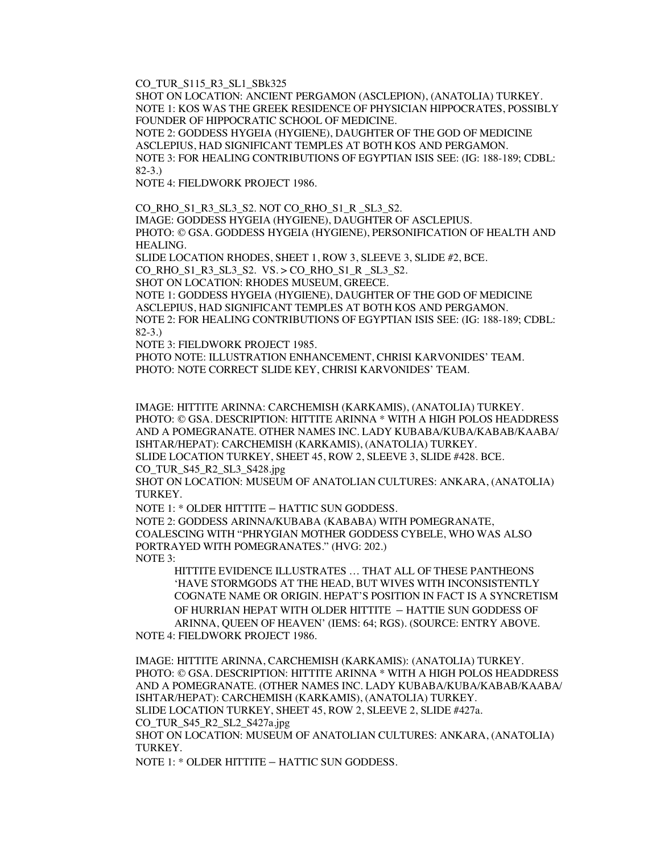CO\_TUR\_S115\_R3\_SL1\_SBk325

SHOT ON LOCATION: ANCIENT PERGAMON (ASCLEPION), (ANATOLIA) TURKEY. NOTE 1: KOS WAS THE GREEK RESIDENCE OF PHYSICIAN HIPPOCRATES, POSSIBLY FOUNDER OF HIPPOCRATIC SCHOOL OF MEDICINE.

NOTE 2: GODDESS HYGEIA (HYGIENE), DAUGHTER OF THE GOD OF MEDICINE ASCLEPIUS, HAD SIGNIFICANT TEMPLES AT BOTH KOS AND PERGAMON. NOTE 3: FOR HEALING CONTRIBUTIONS OF EGYPTIAN ISIS SEE: (IG: 188-189; CDBL: 82-3.)

NOTE 4: FIELDWORK PROJECT 1986.

CO\_RHO\_S1\_R3\_SL3\_S2. NOT CO\_RHO\_S1\_R \_SL3\_S2. IMAGE: GODDESS HYGEIA (HYGIENE), DAUGHTER OF ASCLEPIUS. PHOTO: © GSA. GODDESS HYGEIA (HYGIENE), PERSONIFICATION OF HEALTH AND HEALING.

SLIDE LOCATION RHODES, SHEET 1, ROW 3, SLEEVE 3, SLIDE #2, BCE.

CO\_RHO\_S1\_R3\_SL3\_S2. VS. > CO\_RHO\_S1\_R \_SL3\_S2.

SHOT ON LOCATION: RHODES MUSEUM, GREECE.

NOTE 1: GODDESS HYGEIA (HYGIENE), DAUGHTER OF THE GOD OF MEDICINE ASCLEPIUS, HAD SIGNIFICANT TEMPLES AT BOTH KOS AND PERGAMON. NOTE 2: FOR HEALING CONTRIBUTIONS OF EGYPTIAN ISIS SEE: (IG: 188-189; CDBL: 82-3.)

NOTE 3: FIELDWORK PROJECT 1985.

PHOTO NOTE: ILLUSTRATION ENHANCEMENT, CHRISI KARVONIDES' TEAM. PHOTO: NOTE CORRECT SLIDE KEY, CHRISI KARVONIDES' TEAM.

IMAGE: HITTITE ARINNA: CARCHEMISH (KARKAMIS), (ANATOLIA) TURKEY. PHOTO: © GSA. DESCRIPTION: HITTITE ARINNA \* WITH A HIGH POLOS HEADDRESS AND A POMEGRANATE. OTHER NAMES INC. LADY KUBABA/KUBA/KABAB/KAABA/ ISHTAR/HEPAT): CARCHEMISH (KARKAMIS), (ANATOLIA) TURKEY. SLIDE LOCATION TURKEY, SHEET 45, ROW 2, SLEEVE 3, SLIDE #428. BCE.

CO\_TUR\_S45\_R2\_SL3\_S428.jpg

SHOT ON LOCATION: MUSEUM OF ANATOLIAN CULTURES: ANKARA, (ANATOLIA) TURKEY.

NOTE 1: \* OLDER HITTITE – HATTIC SUN GODDESS.

NOTE 2: GODDESS ARINNA/KUBABA (KABABA) WITH POMEGRANATE, COALESCING WITH "PHRYGIAN MOTHER GODDESS CYBELE, WHO WAS ALSO PORTRAYED WITH POMEGRANATES." (HVG: 202.) NOTE 3:

HITTITE EVIDENCE ILLUSTRATES … THAT ALL OF THESE PANTHEONS 'HAVE STORMGODS AT THE HEAD, BUT WIVES WITH INCONSISTENTLY COGNATE NAME OR ORIGIN. HEPAT'S POSITION IN FACT IS A SYNCRETISM OF HURRIAN HEPAT WITH OLDER HITTITE – HATTIE SUN GODDESS OF ARINNA, QUEEN OF HEAVEN' (IEMS: 64; RGS). (SOURCE: ENTRY ABOVE.

NOTE 4: FIELDWORK PROJECT 1986.

IMAGE: HITTITE ARINNA, CARCHEMISH (KARKAMIS): (ANATOLIA) TURKEY. PHOTO: © GSA. DESCRIPTION: HITTITE ARINNA \* WITH A HIGH POLOS HEADDRESS AND A POMEGRANATE. (OTHER NAMES INC. LADY KUBABA/KUBA/KABAB/KAABA/ ISHTAR/HEPAT): CARCHEMISH (KARKAMIS), (ANATOLIA) TURKEY. SLIDE LOCATION TURKEY, SHEET 45, ROW 2, SLEEVE 2, SLIDE #427a. CO\_TUR\_S45\_R2\_SL2\_S427a.jpg

SHOT ON LOCATION: MUSEUM OF ANATOLIAN CULTURES: ANKARA, (ANATOLIA) TURKEY.

NOTE 1: \* OLDER HITTITE – HATTIC SUN GODDESS.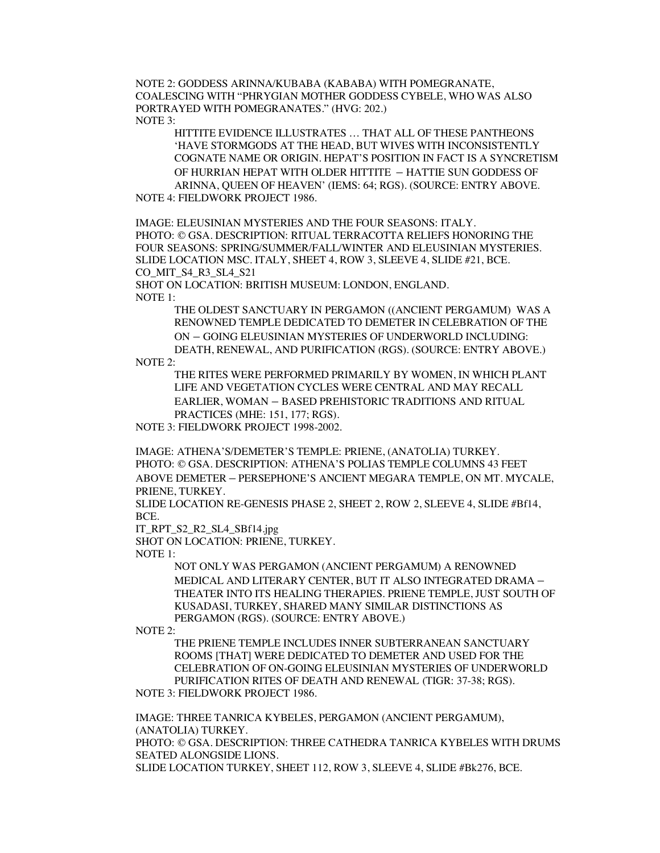NOTE 2: GODDESS ARINNA/KUBABA (KABABA) WITH POMEGRANATE, COALESCING WITH "PHRYGIAN MOTHER GODDESS CYBELE, WHO WAS ALSO PORTRAYED WITH POMEGRANATES." (HVG: 202.) NOTE 3:

HITTITE EVIDENCE ILLUSTRATES … THAT ALL OF THESE PANTHEONS 'HAVE STORMGODS AT THE HEAD, BUT WIVES WITH INCONSISTENTLY COGNATE NAME OR ORIGIN. HEPAT'S POSITION IN FACT IS A SYNCRETISM OF HURRIAN HEPAT WITH OLDER HITTITE – HATTIE SUN GODDESS OF ARINNA, QUEEN OF HEAVEN' (IEMS: 64; RGS). (SOURCE: ENTRY ABOVE.

NOTE 4: FIELDWORK PROJECT 1986.

IMAGE: ELEUSINIAN MYSTERIES AND THE FOUR SEASONS: ITALY. PHOTO: © GSA. DESCRIPTION: RITUAL TERRACOTTA RELIEFS HONORING THE FOUR SEASONS: SPRING/SUMMER/FALL/WINTER AND ELEUSINIAN MYSTERIES. SLIDE LOCATION MSC. ITALY, SHEET 4, ROW 3, SLEEVE 4, SLIDE #21, BCE. CO MIT S4 R3 SL4 S21

SHOT ON LOCATION: BRITISH MUSEUM: LONDON, ENGLAND. NOTE 1:

> THE OLDEST SANCTUARY IN PERGAMON ((ANCIENT PERGAMUM) WAS A RENOWNED TEMPLE DEDICATED TO DEMETER IN CELEBRATION OF THE ON – GOING ELEUSINIAN MYSTERIES OF UNDERWORLD INCLUDING: DEATH, RENEWAL, AND PURIFICATION (RGS). (SOURCE: ENTRY ABOVE.)

NOTE 2:

THE RITES WERE PERFORMED PRIMARILY BY WOMEN, IN WHICH PLANT LIFE AND VEGETATION CYCLES WERE CENTRAL AND MAY RECALL EARLIER, WOMAN – BASED PREHISTORIC TRADITIONS AND RITUAL PRACTICES (MHE: 151, 177; RGS).

NOTE 3: FIELDWORK PROJECT 1998-2002.

IMAGE: ATHENA'S/DEMETER'S TEMPLE: PRIENE, (ANATOLIA) TURKEY. PHOTO: © GSA. DESCRIPTION: ATHENA'S POLIAS TEMPLE COLUMNS 43 FEET ABOVE DEMETER – PERSEPHONE'S ANCIENT MEGARA TEMPLE, ON MT. MYCALE, PRIENE, TURKEY.

SLIDE LOCATION RE-GENESIS PHASE 2, SHEET 2, ROW 2, SLEEVE 4, SLIDE #Bf14, BCE.

IT\_RPT\_S2\_R2\_SL4\_SBf14.jpg

SHOT ON LOCATION: PRIENE, TURKEY.

NOTE 1:

NOT ONLY WAS PERGAMON (ANCIENT PERGAMUM) A RENOWNED MEDICAL AND LITERARY CENTER, BUT IT ALSO INTEGRATED DRAMA – THEATER INTO ITS HEALING THERAPIES. PRIENE TEMPLE, JUST SOUTH OF KUSADASI, TURKEY, SHARED MANY SIMILAR DISTINCTIONS AS PERGAMON (RGS). (SOURCE: ENTRY ABOVE.)

NOTE 2:

THE PRIENE TEMPLE INCLUDES INNER SUBTERRANEAN SANCTUARY ROOMS [THAT] WERE DEDICATED TO DEMETER AND USED FOR THE CELEBRATION OF ON-GOING ELEUSINIAN MYSTERIES OF UNDERWORLD PURIFICATION RITES OF DEATH AND RENEWAL (TIGR: 37-38; RGS).

NOTE 3: FIELDWORK PROJECT 1986.

IMAGE: THREE TANRICA KYBELES, PERGAMON (ANCIENT PERGAMUM), (ANATOLIA) TURKEY.

PHOTO: © GSA. DESCRIPTION: THREE CATHEDRA TANRICA KYBELES WITH DRUMS SEATED ALONGSIDE LIONS.

SLIDE LOCATION TURKEY, SHEET 112, ROW 3, SLEEVE 4, SLIDE #Bk276, BCE.